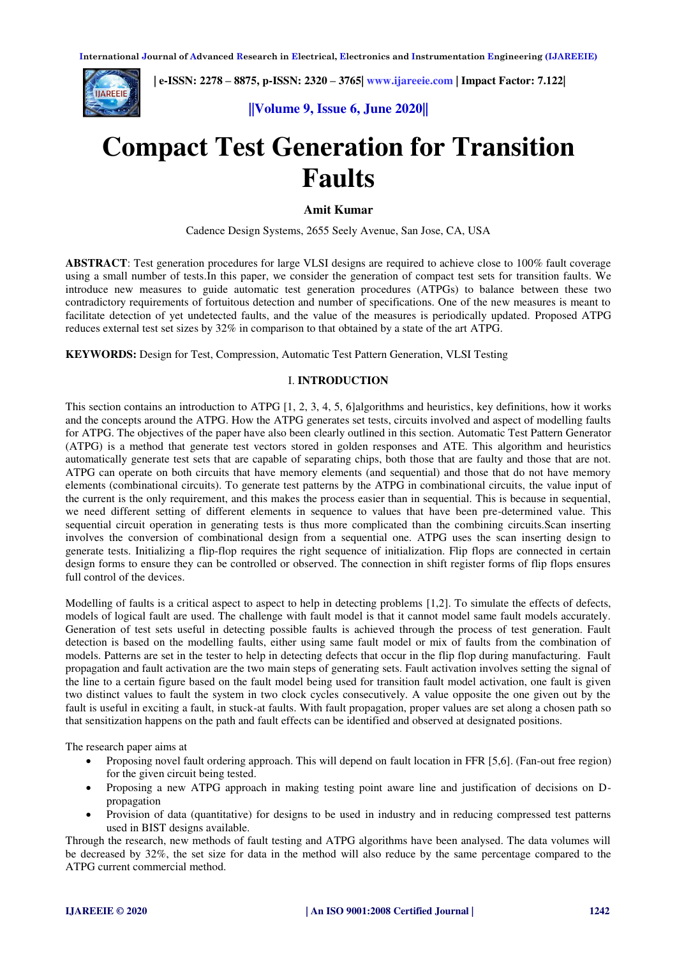

 **| e-ISSN: 2278 – 8875, p-ISSN: 2320 – 3765[| www.ijareeie.com](http://www.ijareeie.com/) | Impact Factor: 7.122|** 



# **Compact Test Generation for Transition Faults**

## **Amit Kumar**

Cadence Design Systems, 2655 Seely Avenue, San Jose, CA, USA

**ABSTRACT**: Test generation procedures for large VLSI designs are required to achieve close to 100% fault coverage using a small number of tests.In this paper, we consider the generation of compact test sets for transition faults. We introduce new measures to guide automatic test generation procedures (ATPGs) to balance between these two contradictory requirements of fortuitous detection and number of specifications. One of the new measures is meant to facilitate detection of yet undetected faults, and the value of the measures is periodically updated. Proposed ATPG reduces external test set sizes by 32% in comparison to that obtained by a state of the art ATPG.

**KEYWORDS:** Design for Test, Compression, Automatic Test Pattern Generation, VLSI Testing

## I. **INTRODUCTION**

This section contains an introduction to ATPG [1, 2, 3, 4, 5, 6]algorithms and heuristics, key definitions, how it works and the concepts around the ATPG. How the ATPG generates set tests, circuits involved and aspect of modelling faults for ATPG. The objectives of the paper have also been clearly outlined in this section. Automatic Test Pattern Generator (ATPG) is a method that generate test vectors stored in golden responses and ATE. This algorithm and heuristics automatically generate test sets that are capable of separating chips, both those that are faulty and those that are not. ATPG can operate on both circuits that have memory elements (and sequential) and those that do not have memory elements (combinational circuits). To generate test patterns by the ATPG in combinational circuits, the value input of the current is the only requirement, and this makes the process easier than in sequential. This is because in sequential, we need different setting of different elements in sequence to values that have been pre-determined value. This sequential circuit operation in generating tests is thus more complicated than the combining circuits.Scan inserting involves the conversion of combinational design from a sequential one. ATPG uses the scan inserting design to generate tests. Initializing a flip-flop requires the right sequence of initialization. Flip flops are connected in certain design forms to ensure they can be controlled or observed. The connection in shift register forms of flip flops ensures full control of the devices.

Modelling of faults is a critical aspect to aspect to help in detecting problems [1,2]. To simulate the effects of defects, models of logical fault are used. The challenge with fault model is that it cannot model same fault models accurately. Generation of test sets useful in detecting possible faults is achieved through the process of test generation. Fault detection is based on the modelling faults, either using same fault model or mix of faults from the combination of models. Patterns are set in the tester to help in detecting defects that occur in the flip flop during manufacturing. Fault propagation and fault activation are the two main steps of generating sets. Fault activation involves setting the signal of the line to a certain figure based on the fault model being used for transition fault model activation, one fault is given two distinct values to fault the system in two clock cycles consecutively. A value opposite the one given out by the fault is useful in exciting a fault, in stuck-at faults. With fault propagation, proper values are set along a chosen path so that sensitization happens on the path and fault effects can be identified and observed at designated positions.

The research paper aims at

- Proposing novel fault ordering approach. This will depend on fault location in FFR [5,6]. (Fan-out free region) for the given circuit being tested.
- Proposing a new ATPG approach in making testing point aware line and justification of decisions on Dpropagation
- Provision of data (quantitative) for designs to be used in industry and in reducing compressed test patterns used in BIST designs available.

Through the research, new methods of fault testing and ATPG algorithms have been analysed. The data volumes will be decreased by 32%, the set size for data in the method will also reduce by the same percentage compared to the ATPG current commercial method.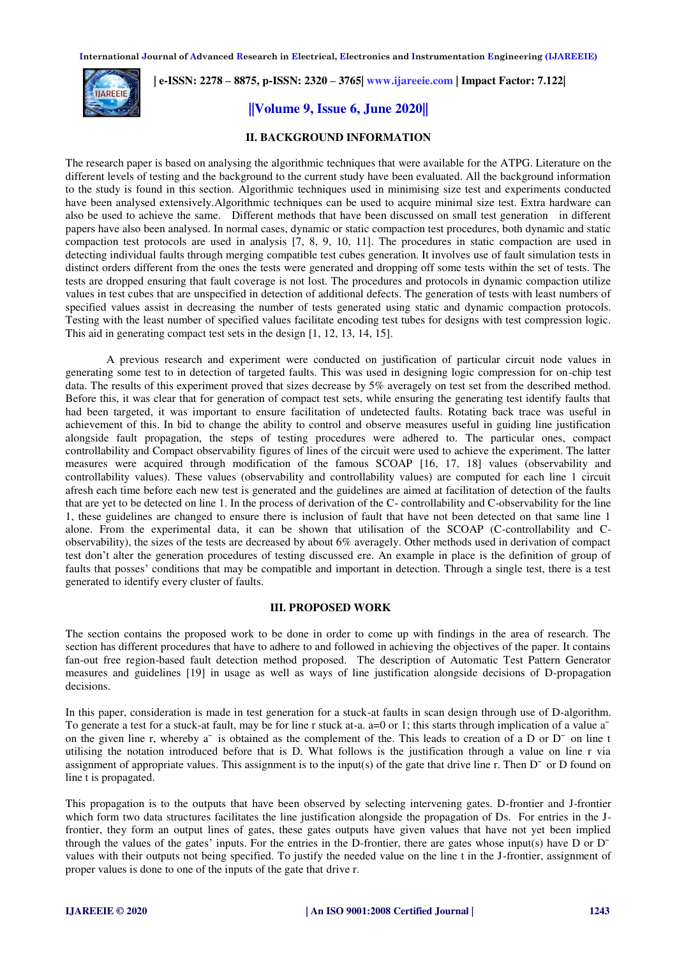

 **| e-ISSN: 2278 – 8875, p-ISSN: 2320 – 3765[| www.ijareeie.com](http://www.ijareeie.com/) | Impact Factor: 7.122|** 

# **||Volume 9, Issue 6, June 2020||**

### **II. BACKGROUND INFORMATION**

The research paper is based on analysing the algorithmic techniques that were available for the ATPG. Literature on the different levels of testing and the background to the current study have been evaluated. All the background information to the study is found in this section. Algorithmic techniques used in minimising size test and experiments conducted have been analysed extensively.Algorithmic techniques can be used to acquire minimal size test. Extra hardware can also be used to achieve the same. Different methods that have been discussed on small test generation in different papers have also been analysed. In normal cases, dynamic or static compaction test procedures, both dynamic and static compaction test protocols are used in analysis [7, 8, 9, 10, 11]. The procedures in static compaction are used in detecting individual faults through merging compatible test cubes generation. It involves use of fault simulation tests in distinct orders different from the ones the tests were generated and dropping off some tests within the set of tests. The tests are dropped ensuring that fault coverage is not lost. The procedures and protocols in dynamic compaction utilize values in test cubes that are unspecified in detection of additional defects. The generation of tests with least numbers of specified values assist in decreasing the number of tests generated using static and dynamic compaction protocols. Testing with the least number of specified values facilitate encoding test tubes for designs with test compression logic. This aid in generating compact test sets in the design [1, 12, 13, 14, 15].

A previous research and experiment were conducted on justification of particular circuit node values in generating some test to in detection of targeted faults. This was used in designing logic compression for on-chip test data. The results of this experiment proved that sizes decrease by 5% averagely on test set from the described method. Before this, it was clear that for generation of compact test sets, while ensuring the generating test identify faults that had been targeted, it was important to ensure facilitation of undetected faults. Rotating back trace was useful in achievement of this. In bid to change the ability to control and observe measures useful in guiding line justification alongside fault propagation, the steps of testing procedures were adhered to. The particular ones, compact controllability and Compact observability figures of lines of the circuit were used to achieve the experiment. The latter measures were acquired through modification of the famous SCOAP [16, 17, 18] values (observability and controllability values). These values (observability and controllability values) are computed for each line 1 circuit afresh each time before each new test is generated and the guidelines are aimed at facilitation of detection of the faults that are yet to be detected on line 1. In the process of derivation of the C- controllability and C-observability for the line 1, these guidelines are changed to ensure there is inclusion of fault that have not been detected on that same line 1 alone. From the experimental data, it can be shown that utilisation of the SCOAP (C-controllability and Cobservability), the sizes of the tests are decreased by about 6% averagely. Other methods used in derivation of compact test don't alter the generation procedures of testing discussed ere. An example in place is the definition of group of faults that posses' conditions that may be compatible and important in detection. Through a single test, there is a test generated to identify every cluster of faults.

## **III. PROPOSED WORK**

The section contains the proposed work to be done in order to come up with findings in the area of research. The section has different procedures that have to adhere to and followed in achieving the objectives of the paper. It contains fan-out free region-based fault detection method proposed. The description of Automatic Test Pattern Generator measures and guidelines [19] in usage as well as ways of line justification alongside decisions of D-propagation decisions.

In this paper, consideration is made in test generation for a stuck-at faults in scan design through use of D-algorithm. To generate a test for a stuck-at fault, may be for line r stuck at-a. a=0 or 1; this starts through implication of a value a<sup> $-$ </sup> on the given line r, whereby a<sup>-</sup> is obtained as the complement of the. This leads to creation of a D or D<sup>-</sup> on line t utilising the notation introduced before that is D. What follows is the justification through a value on line r via assignment of appropriate values. This assignment is to the input(s) of the gate that drive line r. Then  $D<sup>-</sup>$  or D found on line t is propagated.

This propagation is to the outputs that have been observed by selecting intervening gates. D-frontier and J-frontier which form two data structures facilitates the line justification alongside the propagation of Ds. For entries in the Jfrontier, they form an output lines of gates, these gates outputs have given values that have not yet been implied through the values of the gates' inputs. For the entries in the D-frontier, there are gates whose input(s) have  $D$  or  $D$ values with their outputs not being specified. To justify the needed value on the line t in the J-frontier, assignment of proper values is done to one of the inputs of the gate that drive r.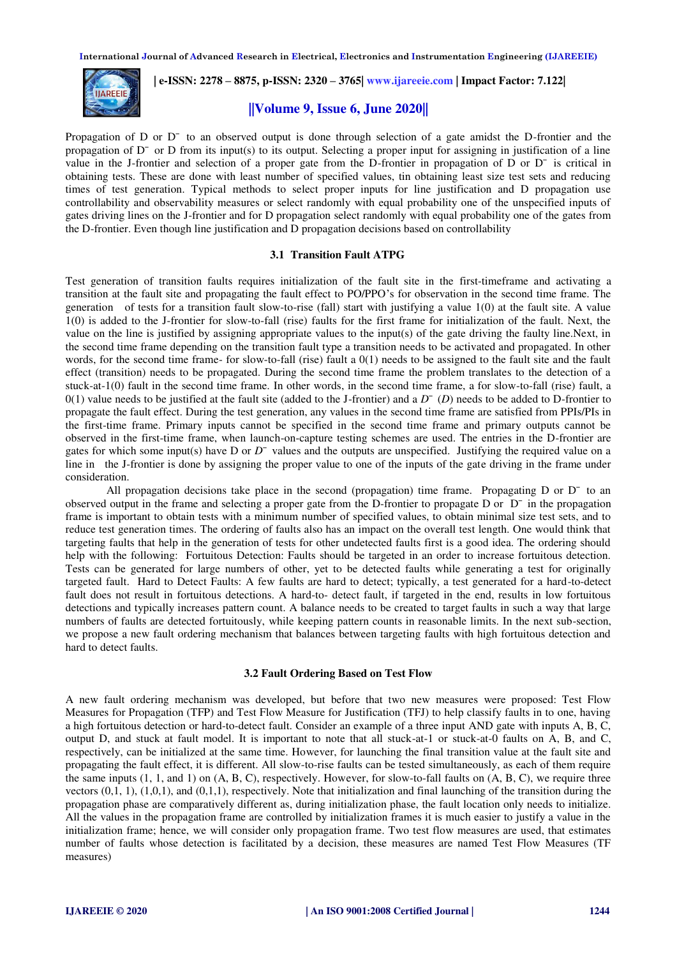

 **| e-ISSN: 2278 – 8875, p-ISSN: 2320 – 3765[| www.ijareeie.com](http://www.ijareeie.com/) | Impact Factor: 7.122|** 

## **||Volume 9, Issue 6, June 2020||**

Propagation of D or D<sup>-</sup> to an observed output is done through selection of a gate amidst the D-frontier and the propagation of  $D<sup>-</sup>$  or D from its input(s) to its output. Selecting a proper input for assigning in justification of a line value in the J-frontier and selection of a proper gate from the D-frontier in propagation of D or  $D<sup>-</sup>$  is critical in obtaining tests. These are done with least number of specified values, tin obtaining least size test sets and reducing times of test generation. Typical methods to select proper inputs for line justification and D propagation use controllability and observability measures or select randomly with equal probability one of the unspecified inputs of gates driving lines on the J-frontier and for D propagation select randomly with equal probability one of the gates from the D-frontier. Even though line justification and D propagation decisions based on controllability

#### **3.1 Transition Fault ATPG**

Test generation of transition faults requires initialization of the fault site in the first-timeframe and activating a transition at the fault site and propagating the fault effect to PO/PPO's for observation in the second time frame. The generation of tests for a transition fault slow-to-rise (fall) start with justifying a value 1(0) at the fault site. A value 1(0) is added to the J-frontier for slow-to-fall (rise) faults for the first frame for initialization of the fault. Next, the value on the line is justified by assigning appropriate values to the input(s) of the gate driving the faulty line.Next, in the second time frame depending on the transition fault type a transition needs to be activated and propagated. In other words, for the second time frame- for slow-to-fall (rise) fault a 0(1) needs to be assigned to the fault site and the fault effect (transition) needs to be propagated. During the second time frame the problem translates to the detection of a stuck-at-1(0) fault in the second time frame. In other words, in the second time frame, a for slow-to-fall (rise) fault, a  $0(1)$  value needs to be justified at the fault site (added to the J-frontier) and a  $D^-(D)$  needs to be added to D-frontier to propagate the fault effect. During the test generation, any values in the second time frame are satisfied from PPIs/PIs in the first-time frame. Primary inputs cannot be specified in the second time frame and primary outputs cannot be observed in the first-time frame, when launch-on-capture testing schemes are used. The entries in the D-frontier are gates for which some input(s) have  $D$  or  $D<sup>-</sup>$  values and the outputs are unspecified. Justifying the required value on a line in the J-frontier is done by assigning the proper value to one of the inputs of the gate driving in the frame under consideration.

All propagation decisions take place in the second (propagation) time frame. Propagating  $D$  or  $D<sup>-</sup>$  to an observed output in the frame and selecting a proper gate from the D-frontier to propagate D or  $D<sup>-</sup>$  in the propagation frame is important to obtain tests with a minimum number of specified values, to obtain minimal size test sets, and to reduce test generation times. The ordering of faults also has an impact on the overall test length. One would think that targeting faults that help in the generation of tests for other undetected faults first is a good idea. The ordering should help with the following: Fortuitous Detection: Faults should be targeted in an order to increase fortuitous detection. Tests can be generated for large numbers of other, yet to be detected faults while generating a test for originally targeted fault. Hard to Detect Faults: A few faults are hard to detect; typically, a test generated for a hard-to-detect fault does not result in fortuitous detections. A hard-to- detect fault, if targeted in the end, results in low fortuitous detections and typically increases pattern count. A balance needs to be created to target faults in such a way that large numbers of faults are detected fortuitously, while keeping pattern counts in reasonable limits. In the next sub-section, we propose a new fault ordering mechanism that balances between targeting faults with high fortuitous detection and hard to detect faults.

#### **3.2 Fault Ordering Based on Test Flow**

A new fault ordering mechanism was developed, but before that two new measures were proposed: Test Flow Measures for Propagation (TFP) and Test Flow Measure for Justification (TFJ) to help classify faults in to one, having a high fortuitous detection or hard-to-detect fault. Consider an example of a three input AND gate with inputs A, B, C, output D, and stuck at fault model. It is important to note that all stuck-at-1 or stuck-at-0 faults on A, B, and C, respectively, can be initialized at the same time. However, for launching the final transition value at the fault site and propagating the fault effect, it is different. All slow-to-rise faults can be tested simultaneously, as each of them require the same inputs  $(1, 1, \text{ and } 1)$  on  $(A, B, C)$ , respectively. However, for slow-to-fall faults on  $(A, B, C)$ , we require three vectors (0,1, 1), (1,0,1), and (0,1,1), respectively. Note that initialization and final launching of the transition during the propagation phase are comparatively different as, during initialization phase, the fault location only needs to initialize. All the values in the propagation frame are controlled by initialization frames it is much easier to justify a value in the initialization frame; hence, we will consider only propagation frame. Two test flow measures are used, that estimates number of faults whose detection is facilitated by a decision, these measures are named Test Flow Measures (TF measures)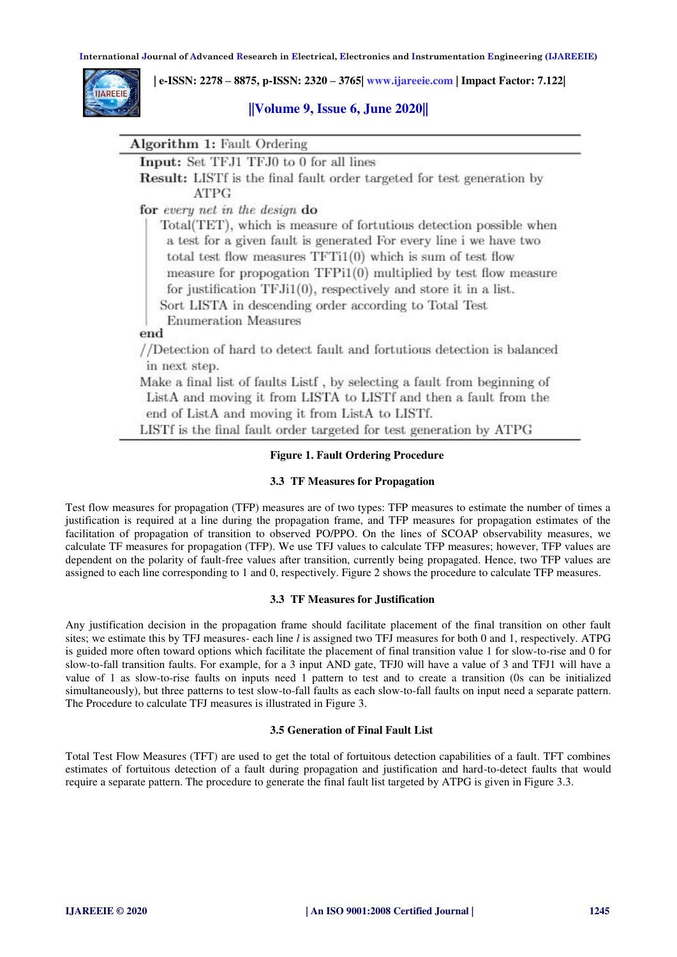

 **| e-ISSN: 2278 – 8875, p-ISSN: 2320 – 3765[| www.ijareeie.com](http://www.ijareeie.com/) | Impact Factor: 7.122|** 

## **||Volume 9, Issue 6, June 2020||**

| <b>Algorithm 1: Fault Ordering</b> |                                                                                                                                                                                                                                                                                                                                                                                                               |
|------------------------------------|---------------------------------------------------------------------------------------------------------------------------------------------------------------------------------------------------------------------------------------------------------------------------------------------------------------------------------------------------------------------------------------------------------------|
|                                    | Input: Set TFJ1 TFJ0 to 0 for all lines                                                                                                                                                                                                                                                                                                                                                                       |
| ATPG                               | <b>Result:</b> LISTf is the final fault order targeted for test generation by                                                                                                                                                                                                                                                                                                                                 |
| for every net in the design do     |                                                                                                                                                                                                                                                                                                                                                                                                               |
| <b>Enumeration Measures</b><br>end | Total(TET), which is measure of fortutious detection possible when<br>a test for a given fault is generated For every line i we have two<br>total test flow measures $TFTi1(0)$ which is sum of test flow<br>measure for propogation $TFP11(0)$ multiplied by test flow measure<br>for justification TFJi1(0), respectively and store it in a list.<br>Sort LISTA in descending order according to Total Test |
|                                    | //Detection of hard to detect fault and fortutious detection is balanced                                                                                                                                                                                                                                                                                                                                      |
| in next step.                      |                                                                                                                                                                                                                                                                                                                                                                                                               |
|                                    | Make a final list of faults Listf, by selecting a fault from beginning of<br>ListA and moving it from LISTA to LISTf and then a fault from the<br>end of ListA and moving it from ListA to LISTf.                                                                                                                                                                                                             |
|                                    | LISTf is the final fault order targeted for test generation by ATPG                                                                                                                                                                                                                                                                                                                                           |

# **Figure 1. Fault Ordering Procedure**

#### **3.3 TF Measures for Propagation**

Test flow measures for propagation (TFP) measures are of two types: TFP measures to estimate the number of times a justification is required at a line during the propagation frame, and TFP measures for propagation estimates of the facilitation of propagation of transition to observed PO/PPO. On the lines of SCOAP observability measures, we calculate TF measures for propagation (TFP). We use TFJ values to calculate TFP measures; however, TFP values are dependent on the polarity of fault-free values after transition, currently being propagated. Hence, two TFP values are assigned to each line corresponding to 1 and 0, respectively. Figure 2 shows the procedure to calculate TFP measures.

#### **3.3 TF Measures for Justification**

Any justification decision in the propagation frame should facilitate placement of the final transition on other fault sites; we estimate this by TFJ measures- each line *l* is assigned two TFJ measures for both 0 and 1, respectively. ATPG is guided more often toward options which facilitate the placement of final transition value 1 for slow-to-rise and 0 for slow-to-fall transition faults. For example, for a 3 input AND gate, TFJ0 will have a value of 3 and TFJ1 will have a value of 1 as slow-to-rise faults on inputs need 1 pattern to test and to create a transition (0s can be initialized simultaneously), but three patterns to test slow-to-fall faults as each slow-to-fall faults on input need a separate pattern. The Procedure to calculate TFJ measures is illustrated in Figure 3.

#### **3.5 Generation of Final Fault List**

Total Test Flow Measures (TFT) are used to get the total of fortuitous detection capabilities of a fault. TFT combines estimates of fortuitous detection of a fault during propagation and justification and hard-to-detect faults that would require a separate pattern. The procedure to generate the final fault list targeted by ATPG is given in Figure 3.3.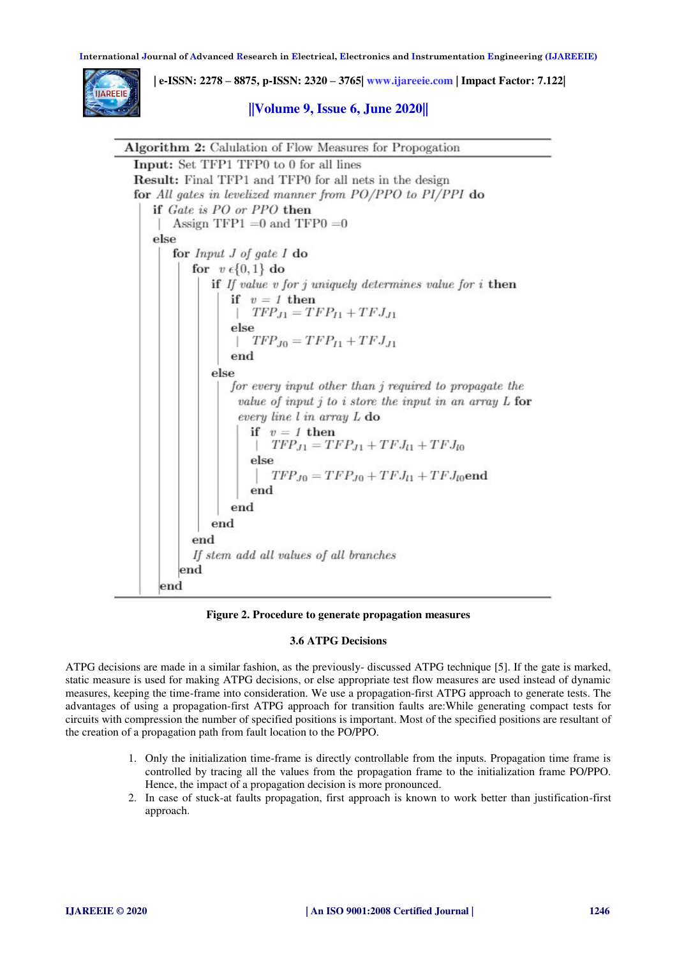

 **| e-ISSN: 2278 – 8875, p-ISSN: 2320 – 3765[| www.ijareeie.com](http://www.ijareeie.com/) | Impact Factor: 7.122|** 

# **||Volume 9, Issue 6, June 2020||**

```
Algorithm 2: Calulation of Flow Measures for Propogation
Input: Set TFP1 TFP0 to 0 for all lines
Result: Final TFP1 and TFP0 for all nets in the design
for All gates in levelized manner from PO/PPO to PI/PPI do
   if Gate is PO or PPO then
       Assign TFP1 =0 and TFP0 =0else
       for Input J of gate I do
          for v \in \{0, 1\} do
              if If value v for j uniquely determines value for i then
                  if v = 1 then
                     TFP_{J1} = TFP_{I1} + TFJ_{J1}else
                     TFP_{J0} = TFP_{I1} + TFJ_{J1}end
              else
                 for every input other than j required to propagate the
                   value of input j to i store the input in an array L for
                   every line l in array L do
                     if v = 1 then
                        TFP_{J1} = TFP_{J1} + TFJ_{l1} + TFJ_{l0}else
                         TFP_{J0} = TFP_{J0} + TFJ_{l1} + TFJ_{l0}end
                     end
                 end
              end
           end
           If stem add all values of all branches
        end
     end
```
**Figure 2. Procedure to generate propagation measures** 

## **3.6 ATPG Decisions**

ATPG decisions are made in a similar fashion, as the previously- discussed ATPG technique [5]. If the gate is marked, static measure is used for making ATPG decisions, or else appropriate test flow measures are used instead of dynamic measures, keeping the time-frame into consideration. We use a propagation-first ATPG approach to generate tests. The advantages of using a propagation-first ATPG approach for transition faults are:While generating compact tests for circuits with compression the number of specified positions is important. Most of the specified positions are resultant of the creation of a propagation path from fault location to the PO/PPO.

- 1. Only the initialization time-frame is directly controllable from the inputs. Propagation time frame is controlled by tracing all the values from the propagation frame to the initialization frame PO/PPO. Hence, the impact of a propagation decision is more pronounced.
- 2. In case of stuck-at faults propagation, first approach is known to work better than justification-first approach.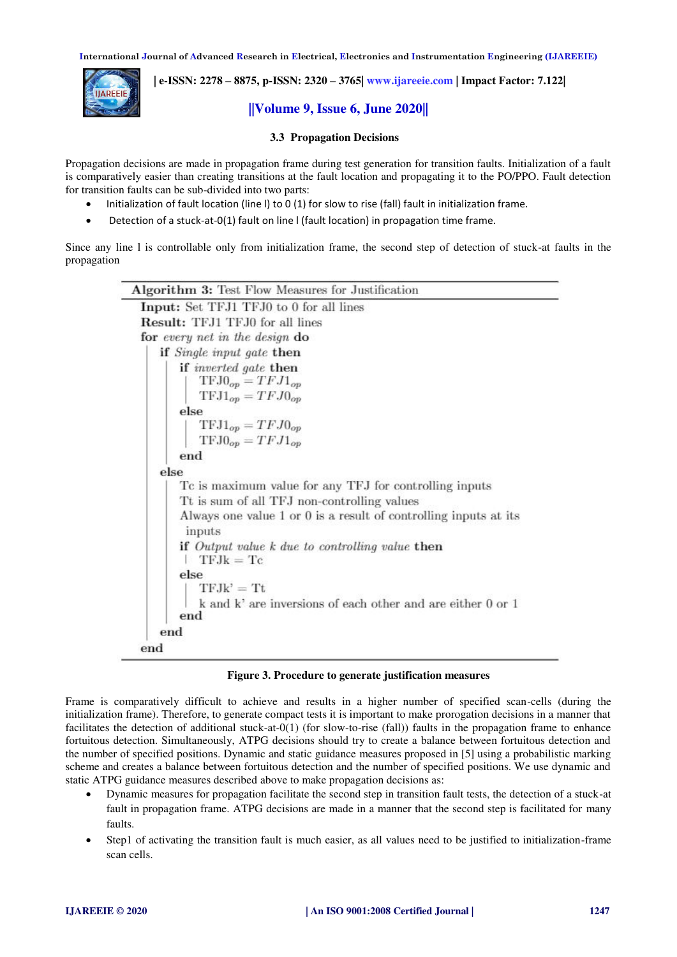

 **| e-ISSN: 2278 – 8875, p-ISSN: 2320 – 3765[| www.ijareeie.com](http://www.ijareeie.com/) | Impact Factor: 7.122|** 

# **||Volume 9, Issue 6, June 2020||**

#### **3.3 Propagation Decisions**

Propagation decisions are made in propagation frame during test generation for transition faults. Initialization of a fault is comparatively easier than creating transitions at the fault location and propagating it to the PO/PPO. Fault detection for transition faults can be sub-divided into two parts:

- Initialization of fault location (line l) to 0 (1) for slow to rise (fall) fault in initialization frame.
- Detection of a stuck-at-0(1) fault on line l (fault location) in propagation time frame.

Since any line l is controllable only from initialization frame, the second step of detection of stuck-at faults in the propagation

| <b>Algorithm 3:</b> Test Flow Measures for Justification                                                        |  |  |  |  |  |
|-----------------------------------------------------------------------------------------------------------------|--|--|--|--|--|
| Input: Set TFJ1 TFJ0 to 0 for all lines                                                                         |  |  |  |  |  |
| <b>Result:</b> TFJ1 TFJ0 for all lines                                                                          |  |  |  |  |  |
| for every net in the design do                                                                                  |  |  |  |  |  |
| if <i>Single input gate</i> then                                                                                |  |  |  |  |  |
| if <i>inverted</i> gate then<br>$TFJ0_{op} = TFJ1_{op}$                                                         |  |  |  |  |  |
| $TFJ1_{op} = TFJ0_{op}$                                                                                         |  |  |  |  |  |
| else<br>$TFJ1_{op} = TFJ0_{op}$<br>$TFJ0_{op} = TFJ1_{op}$                                                      |  |  |  |  |  |
| end                                                                                                             |  |  |  |  |  |
| else                                                                                                            |  |  |  |  |  |
| To is maximum value for any TFJ for controlling inputs                                                          |  |  |  |  |  |
| Tt is sum of all TFJ non-controlling values<br>Always one value 1 or 0 is a result of controlling inputs at its |  |  |  |  |  |
| inputs                                                                                                          |  |  |  |  |  |
| if Output value $k$ due to controlling value then<br>$TEJk = Tc$                                                |  |  |  |  |  |
| else                                                                                                            |  |  |  |  |  |
| $TFJk' = Tt$                                                                                                    |  |  |  |  |  |
| k and k' are inversions of each other and are either 0 or 1<br>end                                              |  |  |  |  |  |
| end                                                                                                             |  |  |  |  |  |
| end                                                                                                             |  |  |  |  |  |

 **Figure 3. Procedure to generate justification measures** 

Frame is comparatively difficult to achieve and results in a higher number of specified scan-cells (during the initialization frame). Therefore, to generate compact tests it is important to make prorogation decisions in a manner that facilitates the detection of additional stuck-at-0(1) (for slow-to-rise (fall)) faults in the propagation frame to enhance fortuitous detection. Simultaneously, ATPG decisions should try to create a balance between fortuitous detection and the number of specified positions. Dynamic and static guidance measures proposed in [5] using a probabilistic marking scheme and creates a balance between fortuitous detection and the number of specified positions. We use dynamic and static ATPG guidance measures described above to make propagation decisions as:

- Dynamic measures for propagation facilitate the second step in transition fault tests, the detection of a stuck-at fault in propagation frame. ATPG decisions are made in a manner that the second step is facilitated for many faults.
- Step1 of activating the transition fault is much easier, as all values need to be justified to initialization-frame scan cells.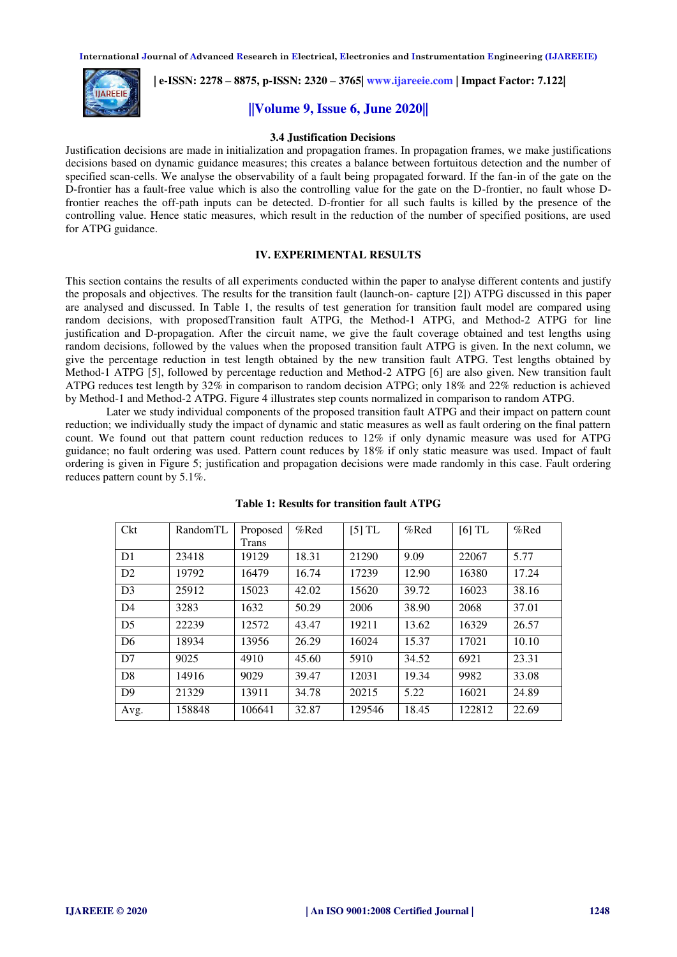

 **| e-ISSN: 2278 – 8875, p-ISSN: 2320 – 3765[| www.ijareeie.com](http://www.ijareeie.com/) | Impact Factor: 7.122|** 

# **||Volume 9, Issue 6, June 2020||**

#### **3.4 Justification Decisions**

Justification decisions are made in initialization and propagation frames. In propagation frames, we make justifications decisions based on dynamic guidance measures; this creates a balance between fortuitous detection and the number of specified scan-cells. We analyse the observability of a fault being propagated forward. If the fan-in of the gate on the D-frontier has a fault-free value which is also the controlling value for the gate on the D-frontier, no fault whose Dfrontier reaches the off-path inputs can be detected. D-frontier for all such faults is killed by the presence of the controlling value. Hence static measures, which result in the reduction of the number of specified positions, are used for ATPG guidance.

#### **IV. EXPERIMENTAL RESULTS**

This section contains the results of all experiments conducted within the paper to analyse different contents and justify the proposals and objectives. The results for the transition fault (launch-on- capture [2]) ATPG discussed in this paper are analysed and discussed. In Table 1, the results of test generation for transition fault model are compared using random decisions, with proposedTransition fault ATPG, the Method-1 ATPG, and Method-2 ATPG for line justification and D-propagation. After the circuit name, we give the fault coverage obtained and test lengths using random decisions, followed by the values when the proposed transition fault ATPG is given. In the next column, we give the percentage reduction in test length obtained by the new transition fault ATPG. Test lengths obtained by Method-1 ATPG [5], followed by percentage reduction and Method-2 ATPG [6] are also given. New transition fault ATPG reduces test length by 32% in comparison to random decision ATPG; only 18% and 22% reduction is achieved by Method-1 and Method-2 ATPG. Figure 4 illustrates step counts normalized in comparison to random ATPG.

 Later we study individual components of the proposed transition fault ATPG and their impact on pattern count reduction; we individually study the impact of dynamic and static measures as well as fault ordering on the final pattern count. We found out that pattern count reduction reduces to 12% if only dynamic measure was used for ATPG guidance; no fault ordering was used. Pattern count reduces by 18% if only static measure was used. Impact of fault ordering is given in Figure 5; justification and propagation decisions were made randomly in this case. Fault ordering reduces pattern count by 5.1%.

| Ckt            | RandomTL | Proposed<br>Trans | %Red  | $[5]$ TL | %Red  | $[6]$ TL | %Red  |
|----------------|----------|-------------------|-------|----------|-------|----------|-------|
| D <sub>1</sub> | 23418    | 19129             | 18.31 | 21290    | 9.09  | 22067    | 5.77  |
| D2             | 19792    | 16479             | 16.74 | 17239    | 12.90 | 16380    | 17.24 |
| D <sub>3</sub> | 25912    | 15023             | 42.02 | 15620    | 39.72 | 16023    | 38.16 |
| D <sub>4</sub> | 3283     | 1632              | 50.29 | 2006     | 38.90 | 2068     | 37.01 |
| D <sub>5</sub> | 22239    | 12572             | 43.47 | 19211    | 13.62 | 16329    | 26.57 |
| D <sub>6</sub> | 18934    | 13956             | 26.29 | 16024    | 15.37 | 17021    | 10.10 |
| D7             | 9025     | 4910              | 45.60 | 5910     | 34.52 | 6921     | 23.31 |
| D <sub>8</sub> | 14916    | 9029              | 39.47 | 12031    | 19.34 | 9982     | 33.08 |
| D <sup>9</sup> | 21329    | 13911             | 34.78 | 20215    | 5.22  | 16021    | 24.89 |
| Avg.           | 158848   | 106641            | 32.87 | 129546   | 18.45 | 122812   | 22.69 |

**Table 1: Results for transition fault ATPG**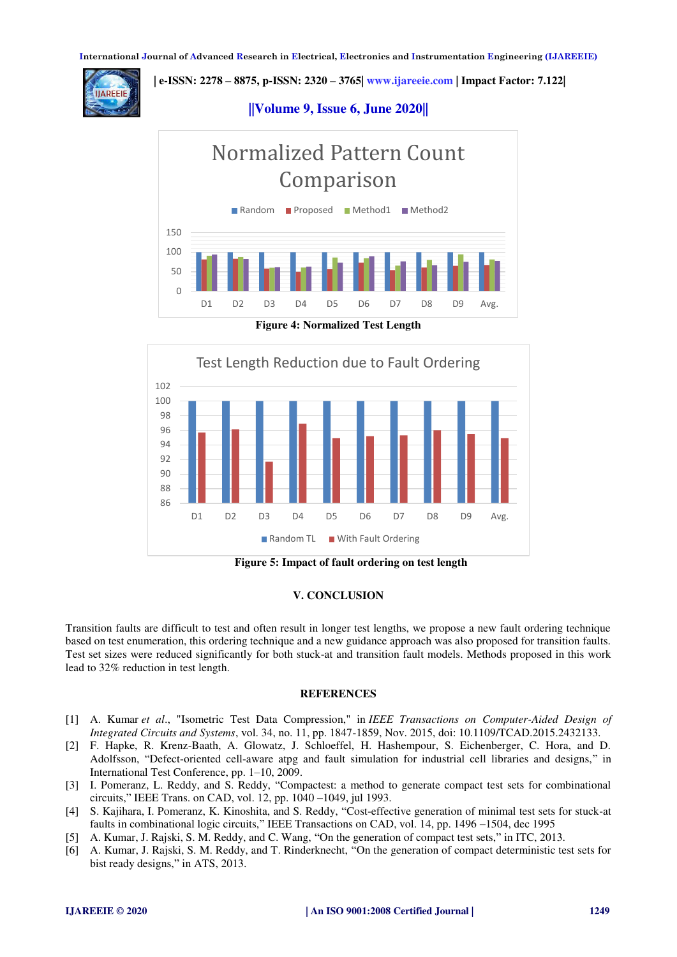**AREEIE** 

 **| e-ISSN: 2278 – 8875, p-ISSN: 2320 – 3765[| www.ijareeie.com](http://www.ijareeie.com/) | Impact Factor: 7.122|** 

# **||Volume 9, Issue 6, June 2020||**



**Figure 4: Normalized Test Length** 



 **Figure 5: Impact of fault ordering on test length** 

## **V. CONCLUSION**

Transition faults are difficult to test and often result in longer test lengths, we propose a new fault ordering technique based on test enumeration, this ordering technique and a new guidance approach was also proposed for transition faults. Test set sizes were reduced significantly for both stuck-at and transition fault models. Methods proposed in this work lead to 32% reduction in test length.

#### **REFERENCES**

- [1] A. Kumar *et al*., "Isometric Test Data Compression," in *IEEE Transactions on Computer-Aided Design of Integrated Circuits and Systems*, vol. 34, no. 11, pp. 1847-1859, Nov. 2015, doi: 10.1109/TCAD.2015.2432133.
- [2] F. Hapke, R. Krenz-Baath, A. Glowatz, J. Schloeffel, H. Hashempour, S. Eichenberger, C. Hora, and D. Adolfsson, "Defect-oriented cell-aware atpg and fault simulation for industrial cell libraries and designs," in International Test Conference, pp. 1–10, 2009.
- [3] I. Pomeranz, L. Reddy, and S. Reddy, "Compactest: a method to generate compact test sets for combinational circuits," IEEE Trans. on CAD, vol. 12, pp. 1040 –1049, jul 1993.
- [4] S. Kajihara, I. Pomeranz, K. Kinoshita, and S. Reddy, "Cost-effective generation of minimal test sets for stuck-at faults in combinational logic circuits," IEEE Transactions on CAD, vol. 14, pp. 1496 –1504, dec 1995
- [5] A. Kumar, J. Rajski, S. M. Reddy, and C. Wang, "On the generation of compact test sets," in ITC, 2013.
- [6] A. Kumar, J. Rajski, S. M. Reddy, and T. Rinderknecht, "On the generation of compact deterministic test sets for bist ready designs," in ATS, 2013.